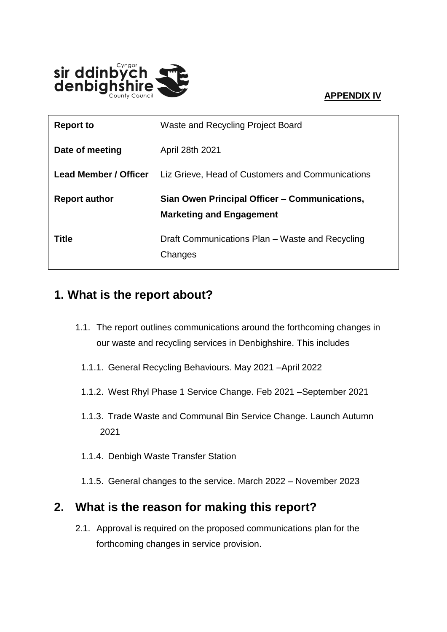#### **APPENDIX IV**



| <b>Report to</b>             | Waste and Recycling Project Board                                                |
|------------------------------|----------------------------------------------------------------------------------|
| Date of meeting              | April 28th 2021                                                                  |
| <b>Lead Member / Officer</b> | Liz Grieve, Head of Customers and Communications                                 |
|                              |                                                                                  |
| <b>Report author</b>         | Sian Owen Principal Officer – Communications,<br><b>Marketing and Engagement</b> |

### **1. What is the report about?**

- 1.1. The report outlines communications around the forthcoming changes in our waste and recycling services in Denbighshire. This includes
	- 1.1.1. General Recycling Behaviours. May 2021 –April 2022
	- 1.1.2. West Rhyl Phase 1 Service Change. Feb 2021 –September 2021
	- 1.1.3. Trade Waste and Communal Bin Service Change. Launch Autumn 2021
	- 1.1.4. Denbigh Waste Transfer Station
	- 1.1.5. General changes to the service. March 2022 November 2023

### **2. What is the reason for making this report?**

2.1. Approval is required on the proposed communications plan for the forthcoming changes in service provision.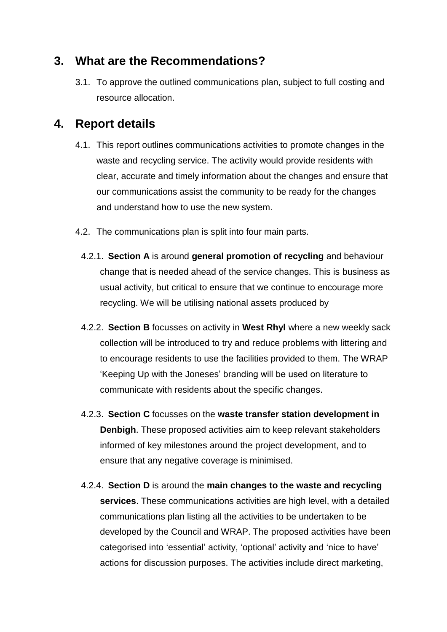#### **3. What are the Recommendations?**

3.1. To approve the outlined communications plan, subject to full costing and resource allocation.

### **4. Report details**

- 4.1. This report outlines communications activities to promote changes in the waste and recycling service. The activity would provide residents with clear, accurate and timely information about the changes and ensure that our communications assist the community to be ready for the changes and understand how to use the new system.
- 4.2. The communications plan is split into four main parts.
	- 4.2.1. **Section A** is around **general promotion of recycling** and behaviour change that is needed ahead of the service changes. This is business as usual activity, but critical to ensure that we continue to encourage more recycling. We will be utilising national assets produced by
	- 4.2.2. **Section B** focusses on activity in **West Rhyl** where a new weekly sack collection will be introduced to try and reduce problems with littering and to encourage residents to use the facilities provided to them. The WRAP 'Keeping Up with the Joneses' branding will be used on literature to communicate with residents about the specific changes.
	- 4.2.3. **Section C** focusses on the **waste transfer station development in Denbigh**. These proposed activities aim to keep relevant stakeholders informed of key milestones around the project development, and to ensure that any negative coverage is minimised.
	- 4.2.4. **Section D** is around the **main changes to the waste and recycling services**. These communications activities are high level, with a detailed communications plan listing all the activities to be undertaken to be developed by the Council and WRAP. The proposed activities have been categorised into 'essential' activity, 'optional' activity and 'nice to have' actions for discussion purposes. The activities include direct marketing,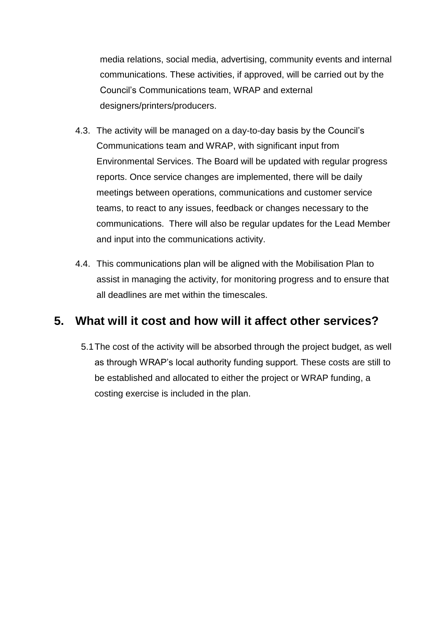media relations, social media, advertising, community events and internal communications. These activities, if approved, will be carried out by the Council's Communications team, WRAP and external designers/printers/producers.

- 4.3. The activity will be managed on a day-to-day basis by the Council's Communications team and WRAP, with significant input from Environmental Services. The Board will be updated with regular progress reports. Once service changes are implemented, there will be daily meetings between operations, communications and customer service teams, to react to any issues, feedback or changes necessary to the communications. There will also be regular updates for the Lead Member and input into the communications activity.
- 4.4. This communications plan will be aligned with the Mobilisation Plan to assist in managing the activity, for monitoring progress and to ensure that all deadlines are met within the timescales.

### **5. What will it cost and how will it affect other services?**

5.1The cost of the activity will be absorbed through the project budget, as well as through WRAP's local authority funding support. These costs are still to be established and allocated to either the project or WRAP funding, a costing exercise is included in the plan.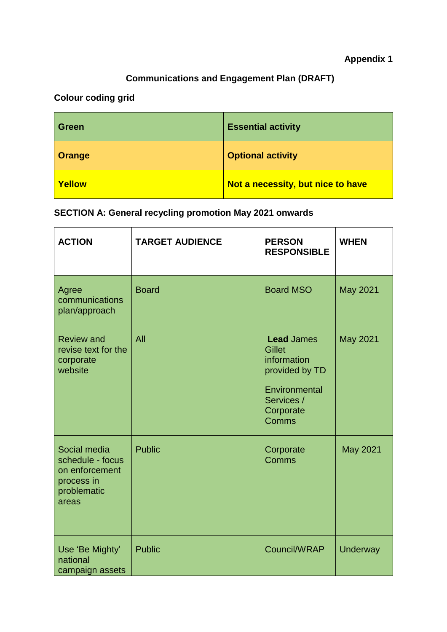### **Communications and Engagement Plan (DRAFT)**

### **Colour coding grid**

| <b>Green</b>  | <b>Essential activity</b>         |
|---------------|-----------------------------------|
| <b>Orange</b> | <b>Optional activity</b>          |
| <b>Yellow</b> | Not a necessity, but nice to have |

### **SECTION A: General recycling promotion May 2021 onwards**

| <b>ACTION</b>                                                                            | <b>TARGET AUDIENCE</b> | <b>PERSON</b><br><b>RESPONSIBLE</b>                                                                                      | <b>WHEN</b>     |
|------------------------------------------------------------------------------------------|------------------------|--------------------------------------------------------------------------------------------------------------------------|-----------------|
| Agree<br>communications<br>plan/approach                                                 | <b>Board</b>           | <b>Board MSO</b>                                                                                                         | <b>May 2021</b> |
| <b>Review and</b><br>revise text for the<br>corporate<br>website                         | All                    | <b>Lead James</b><br><b>Gillet</b><br>information<br>provided by TD<br>Environmental<br>Services /<br>Corporate<br>Comms | May 2021        |
| Social media<br>schedule - focus<br>on enforcement<br>process in<br>problematic<br>areas | <b>Public</b>          | Corporate<br>Comms                                                                                                       | <b>May 2021</b> |
| Use 'Be Mighty'<br>national<br>campaign assets                                           | <b>Public</b>          | Council/WRAP                                                                                                             | <b>Underway</b> |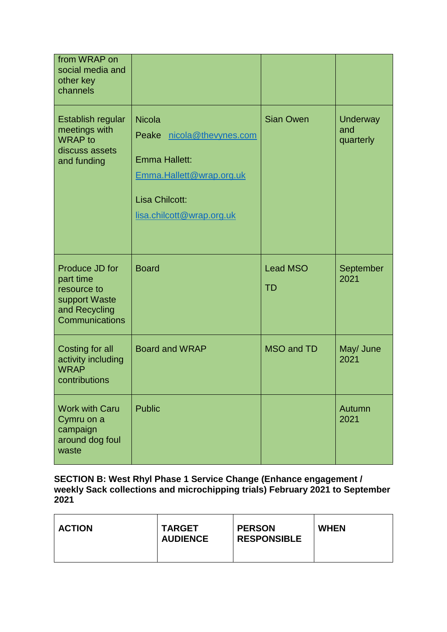| from WRAP on                                                                                   |                                                                                                                                           |                              |                              |
|------------------------------------------------------------------------------------------------|-------------------------------------------------------------------------------------------------------------------------------------------|------------------------------|------------------------------|
| social media and<br>other key<br>channels                                                      |                                                                                                                                           |                              |                              |
| Establish regular<br>meetings with<br><b>WRAP</b> to<br>discuss assets<br>and funding          | <b>Nicola</b><br>nicola@thevynes.com<br>Peake<br>Emma Hallett:<br>Emma.Hallett@wrap.org.uk<br>Lisa Chilcott:<br>lisa.chilcott@wrap.org.uk | <b>Sian Owen</b>             | Underway<br>and<br>quarterly |
| Produce JD for<br>part time<br>resource to<br>support Waste<br>and Recycling<br>Communications | <b>Board</b>                                                                                                                              | <b>Lead MSO</b><br><b>TD</b> | September<br>2021            |
| Costing for all<br>activity including<br><b>WRAP</b><br>contributions                          | <b>Board and WRAP</b>                                                                                                                     | <b>MSO and TD</b>            | May/ June<br>2021            |
| <b>Work with Caru</b><br>Cymru on a<br>campaign<br>around dog foul<br>waste                    | <b>Public</b>                                                                                                                             |                              | Autumn<br>2021               |

**SECTION B: West Rhyl Phase 1 Service Change (Enhance engagement / weekly Sack collections and microchipping trials) February 2021 to September 2021**

| <b>ACTION</b> | <b>TARGET</b><br><b>AUDIENCE</b> | <b>PERSON</b><br><b>RESPONSIBLE</b> | <b>WHEN</b> |
|---------------|----------------------------------|-------------------------------------|-------------|
|---------------|----------------------------------|-------------------------------------|-------------|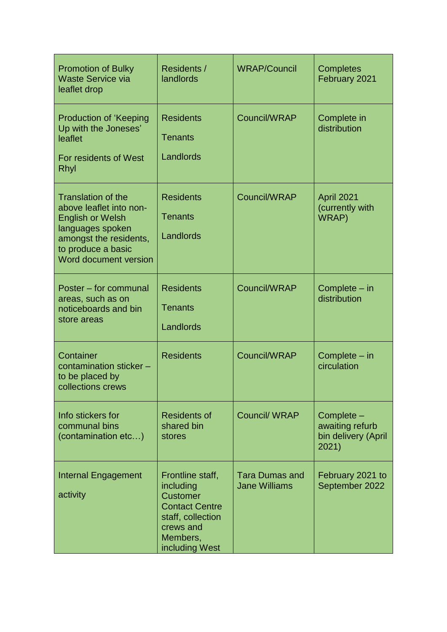| <b>Promotion of Bulky</b><br><b>Waste Service via</b><br>leaflet drop                                                                                                        | Residents /<br>landlords                                                                                                                  | <b>WRAP/Council</b>                           | <b>Completes</b><br>February 2021                             |
|------------------------------------------------------------------------------------------------------------------------------------------------------------------------------|-------------------------------------------------------------------------------------------------------------------------------------------|-----------------------------------------------|---------------------------------------------------------------|
| <b>Production of 'Keeping</b><br>Up with the Joneses'<br>leaflet<br>For residents of West<br>Rhyl                                                                            | <b>Residents</b><br><b>Tenants</b><br>Landlords                                                                                           | Council/WRAP                                  | Complete in<br>distribution                                   |
| <b>Translation of the</b><br>above leaflet into non-<br><b>English or Welsh</b><br>languages spoken<br>amongst the residents,<br>to produce a basic<br>Word document version | <b>Residents</b><br><b>Tenants</b><br>Landlords                                                                                           | Council/WRAP                                  | April 2021<br>(currently with<br>WRAP)                        |
| Poster – for communal<br>areas, such as on<br>noticeboards and bin<br>store areas                                                                                            | <b>Residents</b><br><b>Tenants</b><br>Landlords                                                                                           | Council/WRAP                                  | Complete - in<br>distribution                                 |
| Container<br>contamination sticker -<br>to be placed by<br>collections crews                                                                                                 | <b>Residents</b>                                                                                                                          | Council/WRAP                                  | Complete – in<br>circulation                                  |
| Info stickers for<br>communal bins<br>(contamination etc)                                                                                                                    | <b>Residents of</b><br>shared bin<br>stores                                                                                               | <b>Council/ WRAP</b>                          | Complete -<br>awaiting refurb<br>bin delivery (April<br>2021) |
| <b>Internal Engagement</b><br>activity                                                                                                                                       | Frontline staff,<br>including<br><b>Customer</b><br><b>Contact Centre</b><br>staff, collection<br>crews and<br>Members,<br>including West | <b>Tara Dumas and</b><br><b>Jane Williams</b> | February 2021 to<br>September 2022                            |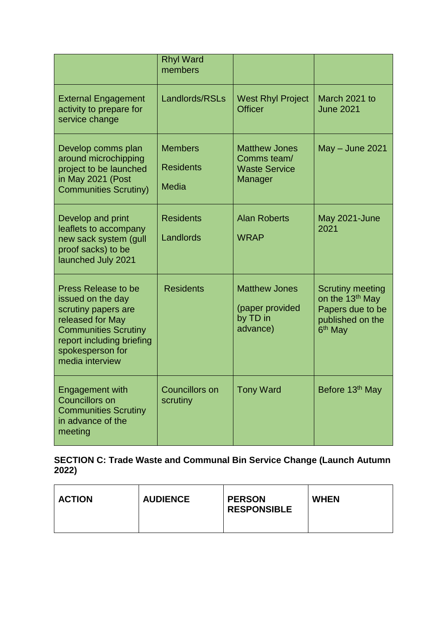|                                                                                                                                                                                               | <b>Rhyl Ward</b><br>members                        |                                                                        |                                                                                                                       |
|-----------------------------------------------------------------------------------------------------------------------------------------------------------------------------------------------|----------------------------------------------------|------------------------------------------------------------------------|-----------------------------------------------------------------------------------------------------------------------|
| <b>External Engagement</b><br>activity to prepare for<br>service change                                                                                                                       | Landlords/RSLs                                     | <b>West Rhyl Project</b><br><b>Officer</b>                             | March 2021 to<br><b>June 2021</b>                                                                                     |
| Develop comms plan<br>around microchipping<br>project to be launched<br>in May 2021 (Post<br><b>Communities Scrutiny)</b>                                                                     | <b>Members</b><br><b>Residents</b><br><b>Media</b> | <b>Matthew Jones</b><br>Comms team/<br><b>Waste Service</b><br>Manager | May - June 2021                                                                                                       |
| Develop and print<br>leaflets to accompany<br>new sack system (gull<br>proof sacks) to be<br>launched July 2021                                                                               | <b>Residents</b><br>Landlords                      | <b>Alan Roberts</b><br><b>WRAP</b>                                     | May 2021-June<br>2021                                                                                                 |
| <b>Press Release to be</b><br>issued on the day<br>scrutiny papers are<br>released for May<br><b>Communities Scrutiny</b><br>report including briefing<br>spokesperson for<br>media interview | <b>Residents</b>                                   | <b>Matthew Jones</b><br>(paper provided<br>by TD in<br>advance)        | <b>Scrutiny meeting</b><br>on the 13 <sup>th</sup> May<br>Papers due to be<br>published on the<br>6 <sup>th</sup> May |
| <b>Engagement with</b><br><b>Councillors on</b><br><b>Communities Scrutiny</b><br>in advance of the<br>meeting                                                                                | <b>Councillors on</b><br>scrutiny                  | <b>Tony Ward</b>                                                       | Before 13 <sup>th</sup> May                                                                                           |

#### **SECTION C: Trade Waste and Communal Bin Service Change (Launch Autumn 2022)**

| <b>ACTION</b> | <b>AUDIENCE</b> | <b>PERSON</b><br><b>RESPONSIBLE</b> | <b>WHEN</b> |
|---------------|-----------------|-------------------------------------|-------------|
|               |                 |                                     |             |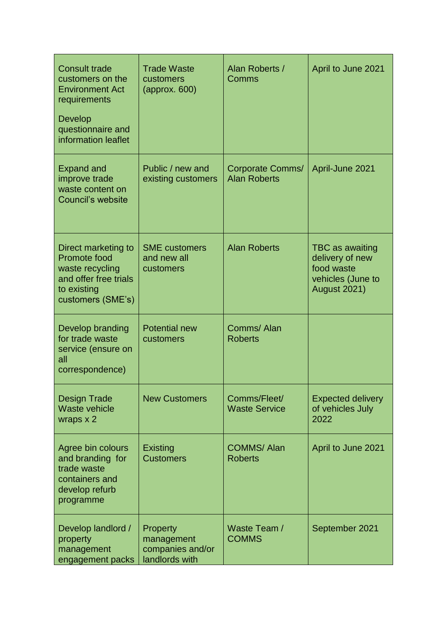| <b>Consult trade</b><br>customers on the<br><b>Environment Act</b><br>requirements<br>Develop<br>questionnaire and<br>information leaflet | <b>Trade Waste</b><br>customers<br>$\langle$ approx. 600)    | Alan Roberts /<br>Comms                 | April to June 2021                                                                           |
|-------------------------------------------------------------------------------------------------------------------------------------------|--------------------------------------------------------------|-----------------------------------------|----------------------------------------------------------------------------------------------|
| <b>Expand and</b><br>improve trade<br>waste content on<br><b>Council's website</b>                                                        | Public / new and<br>existing customers                       | Corporate Comms/<br><b>Alan Roberts</b> | April-June 2021                                                                              |
| Direct marketing to<br>Promote food<br>waste recycling<br>and offer free trials<br>to existing<br>customers (SME's)                       | <b>SME</b> customers<br>and new all<br>customers             | <b>Alan Roberts</b>                     | TBC as awaiting<br>delivery of new<br>food waste<br>vehicles (June to<br><b>August 2021)</b> |
| Develop branding<br>for trade waste<br>service (ensure on<br>all<br>correspondence)                                                       | <b>Potential new</b><br>customers                            | Comms/Alan<br><b>Roberts</b>            |                                                                                              |
| <b>Design Trade</b><br><b>Waste vehicle</b><br>wraps x 2                                                                                  | <b>New Customers</b>                                         | Comms/Fleet/<br><b>Waste Service</b>    | <b>Expected delivery</b><br>of vehicles July<br>2022                                         |
| Agree bin colours<br>and branding for<br>trade waste<br>containers and<br>develop refurb<br>programme                                     | Existing<br><b>Customers</b>                                 | <b>COMMS/Alan</b><br><b>Roberts</b>     | April to June 2021                                                                           |
| Develop landlord /<br>property<br>management<br>engagement packs                                                                          | Property<br>management<br>companies and/or<br>landlords with | Waste Team /<br><b>COMMS</b>            | September 2021                                                                               |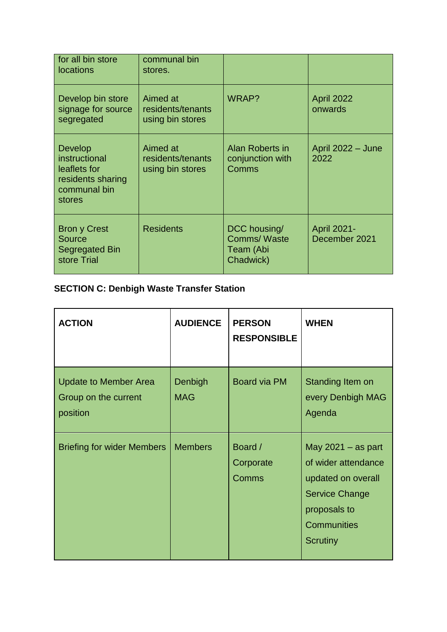| for all bin store<br><b>locations</b>                                                          | communal bin<br>stores.                           |                                                              |                                     |
|------------------------------------------------------------------------------------------------|---------------------------------------------------|--------------------------------------------------------------|-------------------------------------|
| Develop bin store<br>signage for source<br>segregated                                          | Aimed at<br>residents/tenants<br>using bin stores | WRAP?                                                        | <b>April 2022</b><br>onwards        |
| <b>Develop</b><br>instructional<br>leaflets for<br>residents sharing<br>communal bin<br>stores | Aimed at<br>residents/tenants<br>using bin stores | Alan Roberts in<br>conjunction with<br>Comms                 | April 2022 - June<br>2022           |
| <b>Bron y Crest</b><br>Source<br><b>Segregated Bin</b><br>store Trial                          | <b>Residents</b>                                  | DCC housing/<br><b>Comms/Waste</b><br>Team (Abi<br>Chadwick) | <b>April 2021-</b><br>December 2021 |

# **SECTION C: Denbigh Waste Transfer Station**

| <b>ACTION</b>                                                    | <b>AUDIENCE</b>       | <b>PERSON</b><br><b>RESPONSIBLE</b> | <b>WHEN</b>                                                                                                                                         |
|------------------------------------------------------------------|-----------------------|-------------------------------------|-----------------------------------------------------------------------------------------------------------------------------------------------------|
| <b>Update to Member Area</b><br>Group on the current<br>position | Denbigh<br><b>MAG</b> | <b>Board via PM</b>                 | Standing Item on<br>every Denbigh MAG<br>Agenda                                                                                                     |
| <b>Briefing for wider Members</b>                                | <b>Members</b>        | Board /<br>Corporate<br>Comms       | May $2021 - as$ part<br>of wider attendance<br>updated on overall<br><b>Service Change</b><br>proposals to<br><b>Communities</b><br><b>Scrutiny</b> |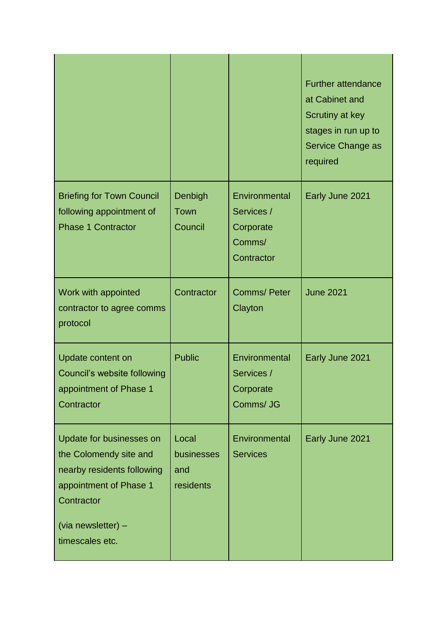|                                                                                                                                                                   |                                         |                                                                  | <b>Further attendance</b><br>at Cabinet and<br>Scrutiny at key<br>stages in run up to<br>Service Change as<br>required |
|-------------------------------------------------------------------------------------------------------------------------------------------------------------------|-----------------------------------------|------------------------------------------------------------------|------------------------------------------------------------------------------------------------------------------------|
| <b>Briefing for Town Council</b><br>following appointment of<br><b>Phase 1 Contractor</b>                                                                         | Denbigh<br>Town<br>Council              | Environmental<br>Services /<br>Corporate<br>Comms/<br>Contractor | Early June 2021                                                                                                        |
| Work with appointed<br>contractor to agree comms<br>protocol                                                                                                      | Contractor                              | <b>Comms/Peter</b><br>Clayton                                    | <b>June 2021</b>                                                                                                       |
| Update content on<br>Council's website following<br>appointment of Phase 1<br>Contractor                                                                          | <b>Public</b>                           | Environmental<br>Services /<br>Corporate<br>Comms/ JG            | Early June 2021                                                                                                        |
| Update for businesses on<br>the Colomendy site and<br>nearby residents following<br>appointment of Phase 1<br>Contractor<br>(via newsletter) -<br>timescales etc. | Local<br>businesses<br>and<br>residents | Environmental<br><b>Services</b>                                 | Early June 2021                                                                                                        |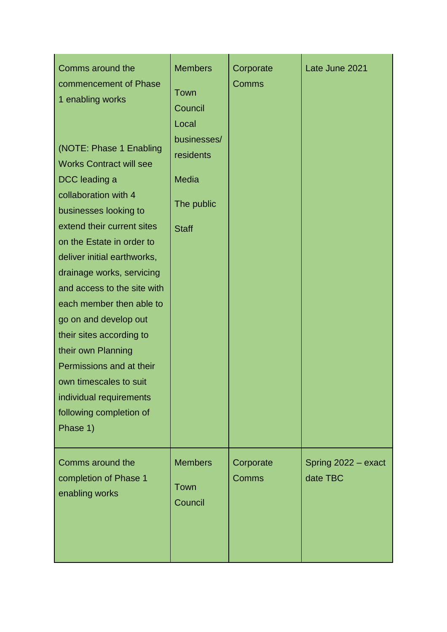| Comms around the<br>commencement of Phase<br>1 enabling works<br>(NOTE: Phase 1 Enabling<br><b>Works Contract will see</b><br>DCC leading a<br>collaboration with 4<br>businesses looking to<br>extend their current sites<br>on the Estate in order to<br>deliver initial earthworks,<br>drainage works, servicing<br>and access to the site with<br>each member then able to<br>go on and develop out<br>their sites according to<br>their own Planning<br>Permissions and at their<br>own timescales to suit<br>individual requirements<br>following completion of<br>Phase 1) | <b>Members</b><br>Town<br>Council<br>Local<br>businesses/<br>residents<br><b>Media</b><br>The public<br><b>Staff</b> | Corporate<br>Comms | Late June 2021                  |
|-----------------------------------------------------------------------------------------------------------------------------------------------------------------------------------------------------------------------------------------------------------------------------------------------------------------------------------------------------------------------------------------------------------------------------------------------------------------------------------------------------------------------------------------------------------------------------------|----------------------------------------------------------------------------------------------------------------------|--------------------|---------------------------------|
| Comms around the<br>completion of Phase 1<br>enabling works                                                                                                                                                                                                                                                                                                                                                                                                                                                                                                                       | <b>Members</b><br>Town<br>Council                                                                                    | Corporate<br>Comms | Spring 2022 - exact<br>date TBC |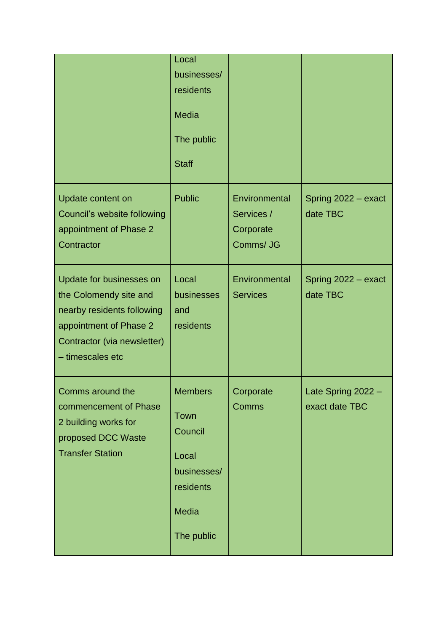|                                                                                                                                                               | Local<br>businesses/<br>residents<br><b>Media</b><br>The public<br><b>Staff</b>                      |                                                       |                                      |
|---------------------------------------------------------------------------------------------------------------------------------------------------------------|------------------------------------------------------------------------------------------------------|-------------------------------------------------------|--------------------------------------|
| Update content on<br>Council's website following<br>appointment of Phase 2<br>Contractor                                                                      | <b>Public</b>                                                                                        | Environmental<br>Services /<br>Corporate<br>Comms/ JG | Spring 2022 - exact<br>date TBC      |
| Update for businesses on<br>the Colomendy site and<br>nearby residents following<br>appointment of Phase 2<br>Contractor (via newsletter)<br>- timescales etc | Local<br>businesses<br>and<br>residents                                                              | Environmental<br><b>Services</b>                      | Spring 2022 - exact<br>date TBC      |
| Comms around the<br>commencement of Phase<br>2 building works for<br>proposed DCC Waste<br><b>Transfer Station</b>                                            | <b>Members</b><br>Town<br>Council<br>Local<br>businesses/<br>residents<br><b>Media</b><br>The public | Corporate<br>Comms                                    | Late Spring 2022 -<br>exact date TBC |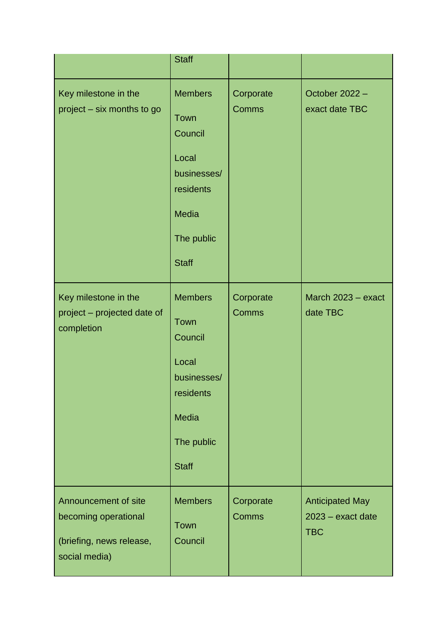|                                                                                           | <b>Staff</b>                                                                                                         |                    |                                                           |
|-------------------------------------------------------------------------------------------|----------------------------------------------------------------------------------------------------------------------|--------------------|-----------------------------------------------------------|
| Key milestone in the<br>project – six months to go                                        | <b>Members</b><br>Town<br>Council<br>Local<br>businesses/<br>residents<br><b>Media</b><br>The public<br><b>Staff</b> | Corporate<br>Comms | October 2022 -<br>exact date TBC                          |
| Key milestone in the<br>project - projected date of<br>completion                         | <b>Members</b><br>Town<br>Council<br>Local<br>businesses/<br>residents<br><b>Media</b><br>The public<br><b>Staff</b> | Corporate<br>Comms | March 2023 - exact<br>date TBC                            |
| Announcement of site<br>becoming operational<br>(briefing, news release,<br>social media) | <b>Members</b><br>Town<br>Council                                                                                    | Corporate<br>Comms | <b>Anticipated May</b><br>2023 - exact date<br><b>TBC</b> |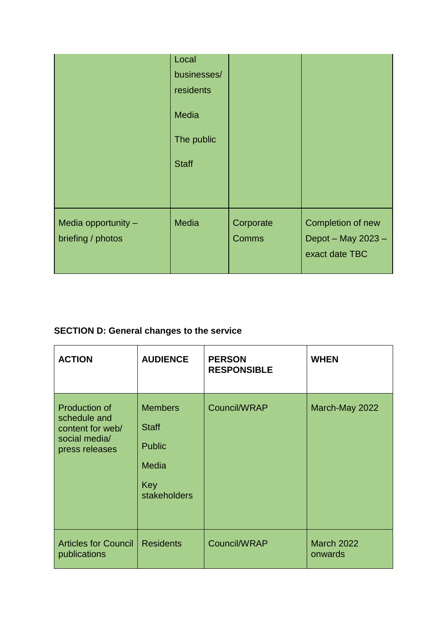|                                          | Local<br>businesses/<br>residents<br><b>Media</b><br>The public<br><b>Staff</b> |                    |                                                           |
|------------------------------------------|---------------------------------------------------------------------------------|--------------------|-----------------------------------------------------------|
| Media opportunity -<br>briefing / photos | <b>Media</b>                                                                    | Corporate<br>Comms | Completion of new<br>Depot - May 2023 -<br>exact date TBC |

## **SECTION D: General changes to the service**

| <b>ACTION</b>                                                                               | <b>AUDIENCE</b>                                                                        | <b>PERSON</b><br><b>RESPONSIBLE</b> | <b>WHEN</b>                  |
|---------------------------------------------------------------------------------------------|----------------------------------------------------------------------------------------|-------------------------------------|------------------------------|
| <b>Production of</b><br>schedule and<br>content for web/<br>social media/<br>press releases | <b>Members</b><br><b>Staff</b><br><b>Public</b><br><b>Media</b><br>Key<br>stakeholders | Council/WRAP                        | March-May 2022               |
| <b>Articles for Council</b><br>publications                                                 | <b>Residents</b>                                                                       | Council/WRAP                        | <b>March 2022</b><br>onwards |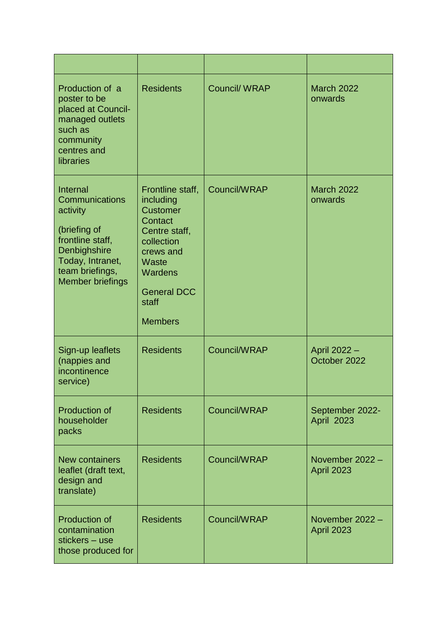| Production of a<br>poster to be<br>placed at Council-<br>managed outlets<br>such as<br>community<br>centres and<br>libraries                                 | <b>Residents</b>                                                                                                                                                             | <b>Council/ WRAP</b> | <b>March 2022</b><br>onwards         |
|--------------------------------------------------------------------------------------------------------------------------------------------------------------|------------------------------------------------------------------------------------------------------------------------------------------------------------------------------|----------------------|--------------------------------------|
| Internal<br>Communications<br>activity<br>(briefing of<br>frontline staff,<br>Denbighshire<br>Today, Intranet,<br>team briefings,<br><b>Member briefings</b> | Frontline staff,<br>including<br><b>Customer</b><br>Contact<br>Centre staff,<br>collection<br>crews and<br>Waste<br>Wardens<br><b>General DCC</b><br>staff<br><b>Members</b> | Council/WRAP         | <b>March 2022</b><br>onwards         |
| Sign-up leaflets<br>(nappies and<br>incontinence<br>service)                                                                                                 | <b>Residents</b>                                                                                                                                                             | Council/WRAP         | April 2022 -<br>October 2022         |
| <b>Production of</b><br>householder<br>packs                                                                                                                 | <b>Residents</b>                                                                                                                                                             | Council/WRAP         | September 2022-<br>April 2023        |
| <b>New containers</b><br>leaflet (draft text,<br>design and<br>translate)                                                                                    | <b>Residents</b>                                                                                                                                                             | Council/WRAP         | November 2022 -<br><b>April 2023</b> |
| <b>Production of</b><br>contamination<br>stickers - use<br>those produced for                                                                                | <b>Residents</b>                                                                                                                                                             | Council/WRAP         | November 2022 -<br><b>April 2023</b> |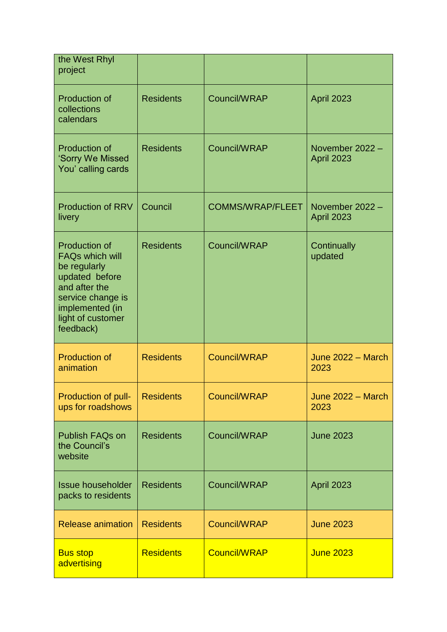| the West Rhyl<br>project                                                                                                                                                    |                  |                         |                                      |
|-----------------------------------------------------------------------------------------------------------------------------------------------------------------------------|------------------|-------------------------|--------------------------------------|
| <b>Production of</b><br>collections<br>calendars                                                                                                                            | <b>Residents</b> | Council/WRAP            | <b>April 2023</b>                    |
| <b>Production of</b><br>'Sorry We Missed<br>You' calling cards                                                                                                              | <b>Residents</b> | Council/WRAP            | November 2022 -<br><b>April 2023</b> |
| <b>Production of RRV</b><br>livery                                                                                                                                          | Council          | <b>COMMS/WRAP/FLEET</b> | November 2022 -<br><b>April 2023</b> |
| <b>Production of</b><br><b>FAQs which will</b><br>be regularly<br>updated before<br>and after the<br>service change is<br>implemented (in<br>light of customer<br>feedback) | <b>Residents</b> | Council/WRAP            | Continually<br>updated               |
| <b>Production of</b><br>animation                                                                                                                                           | <b>Residents</b> | <b>Council/WRAP</b>     | June 2022 - March<br>2023            |
| Production of pull-<br>ups for roadshows                                                                                                                                    | <b>Residents</b> | Council/WRAP            | June 2022 - March<br>2023            |
| Publish FAQs on<br>the Council's<br>website                                                                                                                                 | <b>Residents</b> | Council/WRAP            | <b>June 2023</b>                     |
| <b>Issue householder</b><br>packs to residents                                                                                                                              | <b>Residents</b> | Council/WRAP            | <b>April 2023</b>                    |
| <b>Release animation</b>                                                                                                                                                    | <b>Residents</b> | Council/WRAP            | <b>June 2023</b>                     |
| <b>Bus stop</b><br>advertising                                                                                                                                              | <b>Residents</b> | <b>Council/WRAP</b>     | <b>June 2023</b>                     |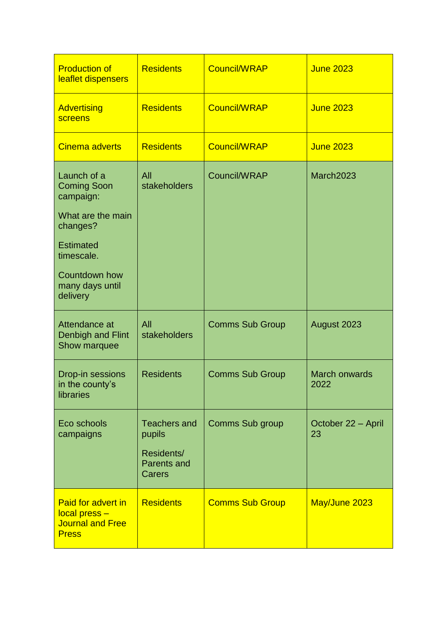| <b>Production of</b><br>leaflet dispensers                                            | <b>Residents</b>                           | <b>Council/WRAP</b>    | <b>June 2023</b>             |
|---------------------------------------------------------------------------------------|--------------------------------------------|------------------------|------------------------------|
| <b>Advertising</b><br>screens                                                         | <b>Residents</b>                           | <b>Council/WRAP</b>    | <b>June 2023</b>             |
| <b>Cinema adverts</b>                                                                 | <b>Residents</b>                           | <b>Council/WRAP</b>    | <b>June 2023</b>             |
| Launch of a<br><b>Coming Soon</b><br>campaign:                                        | All<br>stakeholders                        | Council/WRAP           | March2023                    |
| What are the main<br>changes?                                                         |                                            |                        |                              |
| <b>Estimated</b><br>timescale.                                                        |                                            |                        |                              |
| <b>Countdown how</b><br>many days until<br>delivery                                   |                                            |                        |                              |
| Attendance at<br>Denbigh and Flint<br>Show marquee                                    | All<br>stakeholders                        | <b>Comms Sub Group</b> | August 2023                  |
| Drop-in sessions<br>in the county's<br>libraries                                      | <b>Residents</b>                           | <b>Comms Sub Group</b> | <b>March onwards</b><br>2022 |
| Eco schools<br>campaigns                                                              | <b>Teachers and</b><br>pupils              | <b>Comms Sub group</b> | October 22 - April<br>23     |
|                                                                                       | Residents/<br><b>Parents and</b><br>Carers |                        |                              |
| <b>Paid for advert in</b><br>local press -<br><b>Journal and Free</b><br><b>Press</b> | <b>Residents</b>                           | <b>Comms Sub Group</b> | May/June 2023                |